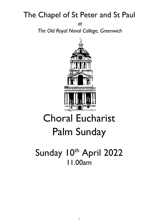# The Chapel of St Peter and St Paul

*at* 

*The Old Royal Naval College, Greenwich*



# Choral Eucharist Palm Sunday

# Sunday 10th April 2022 11.00am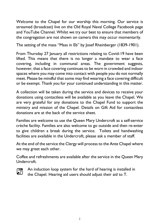Welcome to the Chapel for our worship this morning. Our service is streamed (broadcast) live on the Old Royal Naval College Facebook page and YouTube Channel. Whilst we try our best to ensure that members of the congregation are not shown on camera this may occur momentarily.

The setting of the mass "Mass in Eb" by Josef Rheinberger (1839-1901).

From Thursday 27 January all restrictions relating to Covid-19 have been lifted. This means that there is no longer a mandate to wear a face covering, including in communal areas. The government suggests, however, that a face covering continues to be worn in crowded and indoor spaces where you may come into contact with people you do not normally meet. Please be mindful that some may find wearing a face covering difficult or be exempt. Thank you for your continued understanding in this matter.

A collection will be taken during the service and devices to receive your donations using contactless will be available as you leave the Chapel. We are very grateful for any donations to the Chapel Fund to support the ministry and mission of the Chapel. Details on Gift Aid for contactless donations are at the back of the service sheet.

Families are welcome to use the Queen Mary Undercroft as a self-service crèche facility. Families are also welcome to go outside and then re-enter to give children a break during the service. Toilets and handwashing facilities are available in the Undercroft, please ask a member of staff.

At the end of the service the Clergy will process to the Ante Chapel where we may greet each other.

Coffee and refreshments are available after the service in the Queen Mary Undercroft.



An induction loop system for the hard of hearing is installed in the Chapel. Hearing aid users should adjust their aid to T.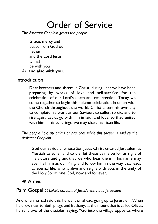# Order of Service

*The Assistant Chaplain greets the people*

Grace, mercy and peace from God our Father and the Lord Jesus **Christ** be with you *All* **and also with you.**

#### Introduction

Dear brothers and sisters in Christ, during Lent we have been preparing by works of love and self-sacrifice for the celebration of our Lord's death and resurrection. Today we come together to begin this solemn celebration in union with the Church throughout the world. Christ enters his own city to complete his work as our Saviour, to suffer, to die, and to rise again. Let us go with him in faith and love, so that, united with him in his sufferings, we may share his risen life.

*The people hold up palms or branches while this prayer is said by the Assistant Chaplain*

God our Saviour, whose Son Jesus Christ entered Jerusalem as Messiah to suffer and to die; let these palms be for us signs of his victory and grant that we who bear them in his name may ever hail him as our King, and follow him in the way that leads to eternal life; who is alive and reigns with you, in the unity of the Holy Spirit, one God, now and for ever.

#### *All* **Amen.**

#### Palm Gospel *St Luke's account of Jesus's entry into Jerusalem*

And when he had said this, he went on ahead, going up to Jerusalem.When he drew near to Beth′phage and Bethany, at the mount that is called Olivet, he sent two of the disciples, saying, "Go into the village opposite, where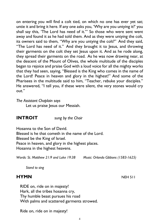**HYMN** NEH 511 RIDE on, ride on in majesty! Hark, all the tribes hosanna cry, Thy humble beast pursues his road

With palms and scattered garments strowed.

Ride on, ride on in majesty!

shall say this, 'The Lord has need of it.'" So those who were sent went away and found it as he had told them. And as they were untying the colt, its owners said to them, "Why are you untying the colt?" And they said, "The Lord has need of it." And they brought it to Jesus, and throwing their garments on the colt they set Jesus upon it. And as he rode along, they spread their garments on the road. As he was now drawing near, at the descent of the Mount of Olives, the whole multitude of the disciples began to rejoice and praise God with a loud voice for all the mighty works that they had seen, saying, "Blessed is the King who comes in the name of the Lord! Peace in heaven and glory in the highest!" And some of the Pharisees in the multitude said to him, "Teacher, rebuke your disciples." He answered, "I tell you, if these were silent, the very stones would cry out." *The Assistant Chaplain says* Let us praise Jesus our Messiah.

on entering you will find a colt tied, on which no one has ever yet sat; untie it and bring it here. If any one asks you, 'Why are you untying it?' you

**INTROIT** *sung by the Choir*

Hosanna to the Son of David. Blessed is he that cometh in the name of the Lord. Blessed be the King of Israel. Peace in heaven, and glory in the highest places. Hosanna in the highest heavens.

*Words: St. Matthew 21:9 and Luke 19:38 Music: Orlando Gibbons (1583-1625)*

*Stand to sing*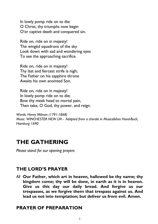In lowly pomp ride on to die: O Christ, thy triumphs now begin O'er captive death and conquered sin.

Ride on, ride on in majesty! The wingèd squadrons of the sky Look down with sad and wondering eyes To see the approaching sacrifice.

Ride on, ride on in majesty! Thy last and fiercest strife is nigh; The Father on his sapphire throne Awaits his own anointed Son.

Ride on, ride on in majesty! In lowly pomp ride on to die; Bow thy meek head to mortal pain, Then take, O God, thy power, and reign.

*Words: Henry Milman (1791-1868) Music: WINCHESTER NEW LM - Adapted from a chorale in Musicalishes Hand-Buch, Hamburg 1690*

# **THE GATHERING**

*Please stand for our opening prayers*

# **THE LORD'S PRAYER**

*All* **Our Father, which art in heaven, hallowed be thy name; thy kingdom come; thy will be done, in earth as it is in heaven. Give us this day our daily bread. And forgive us our trespasses, as we forgive them that trespass against us. And lead us not into temptation; but deliver us from evil. Amen.**

#### **PRAYER OF PREPARATION**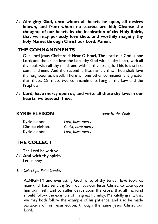*All* **Almighty God, unto whom all hearts be open, all desires known, and from whom no secrets are hid; Cleanse the thoughts of our hearts by the inspiration of thy Holy Spirit, that we may perfectly love thee, and worthily magnify thy holy Name; through Christ our Lord. Amen.**

#### **THE COMMANDMENTS**

Our Lord Jesus Christ said: Hear O Israel, The Lord our God is one Lord; and thou shalt love the Lord thy God with all thy heart, with all thy soul, with all thy mind, and with all thy strength. This is the first commandment. And the second is like, namely this: Thou shalt love thy neighbour as thyself. There is none other commandment greater than these. On these two commandments hang all the Law and the Prophets.

*All* **Lord, have mercy upon us, and write all these thy laws in our hearts, we beseech thee.**

#### **KYRIE ELEISON** *sung by the Choir*

| Kyrie eleison.   | Lord, have mercy.   |
|------------------|---------------------|
| Christe eleison. | Christ, have mercy. |
| Kyrie eleison.   | Lord, have mercy.   |

# **THE COLLECT**

The Lord be with you.

*All* **And with thy spirit.**

Let us pray.

*The Collect for Palm Sunday*

ALMIGHTY and everlasting God, who, of thy tender love towards man-kind, hast sent thy Son, our Saviour Jesus Christ, to take upon him our flesh, and to suffer death upon the cross, that all mankind should follow the example of his great humility: Mercifully grant, that we may both follow the example of his patience, and also be made partakers of his resurrection; through the same Jesus Christ our Lord.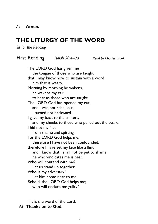# **THE LITURGY OF THE WORD**

*Sit for the Reading*

First Reading *Isaiah 50.4–9a Read by Charles Brook* The LORD God has given me the tongue of those who are taught, that I may know how to sustain with a word him that is weary. Morning by morning he wakens, he wakens my ear to hear as those who are taught. The LORD God has opened my ear, and I was not rebellious, I turned not backward. I gave my back to the smiters, and my cheeks to those who pulled out the beard; I hid not my face from shame and spitting. For the LORD God helps me; therefore I have not been confounded; therefore I have set my face like a flint, and I know that I shall not be put to shame; he who vindicates me is near. Who will contend with me? Let us stand up together. Who is my adversary? Let him come near to me. Behold, the LORD God helps me;

who will declare me guilty?

This is the word of the Lord. *All* **Thanks be to God.**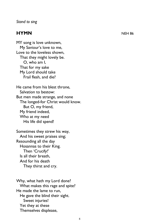#### *Stand to sing*

#### **HYMN** NEH 86

MY song is love unknown, My Saviour's love to me, Love to the loveless shown, That they might lovely be. O, who am I, That for my sake My Lord should take Frail flesh, and die?

He came from his blest throne, Salvation to bestow: But men made strange, and none The longed-for Christ would know. But O, my friend, My friend indeed, Who at my need His life did spend!

Sometimes they strew his way, And his sweet praises sing; Resounding all the day Hosannas to their King. Then 'Crucify!' Is all their breath, And for his death They thirst and cry.

Why, what hath my Lord done? What makes this rage and spite? He made the lame to run, He gave the blind their sight. Sweet injuries! Yet they at these Themselves displease,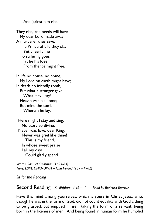And 'gainst him rise.

They rise, and needs will have My dear Lord made away; A murderer they save, The Prince of Life they slay. Yet cheerful he To suffering goes, That he his foes From thence might free.

In life no house, no home, My Lord on earth might have; In death no friendly tomb, But what a stranger gave. What may I say? Heav'n was his home; But mine the tomb Wherein he lay.

Here might I stay and sing, No story so divine; Never was love, dear King, Never was grief like thine! This is my friend, In whose sweet praise I all my days Could gladly spend.

*Words: Samuel Crossman (1624-83) Tune: LOVE UNKNOWN – John Ireland (1879-1962)*

*Sit for the Reading*

Second Reading *Philippians 2 v5–11 Read by Roderick Burrows*

Have this mind among yourselves, which is yours in Christ Jesus, who, though he was in the form of God, did not count equality with God a thing to be grasped, but emptied himself, taking the form of a servant, being born in the likeness of men. And being found in human form he humbled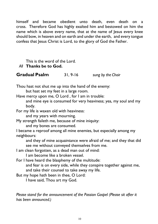himself and became obedient unto death, even death on a cross. Therefore God has highly exalted him and bestowed on him the name which is above every name, that at the name of Jesus every knee should bow, in heaven and on earth and under the earth, and every tongue confess that Jesus Christ is Lord, to the glory of God the Father.

This is the word of the Lord.

*All* **Thanks be to God.**

**Gradual Psalm** 31, 9-16 *sung by the Choir*

Thou hast not shut me up into the hand of the enemy:

but hast set my feet in a large room.

Have mercy upon me, O Lord, for I am in trouble:

and mine eye is consumed for very heaviness; yea, my soul and my body.

For my life is waxen old with heaviness:

and my years with mourning.

My strength faileth me, because of mine iniquity:

and my bones are consumed.

I became a reproof among all mine enemies, but especially among my neighbours:

and they of mine acquaintance were afraid of me; and they that did see me without conveyed themselves from me.

I am clean forgotten, as a dead man out of mind:

I am become like a broken vessel.

For I have heard the blasphemy of the multitude: and fear is on every side, while they conspire together against me, and take their counsel to take away my life.

But my hope hath been in thee, O Lord:

I have said, Thou art my God.

*Please stand for the announcement of the Passion Gospel (Please sit after it has been announced.)*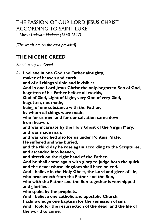# THE PASSION OF OUR LORD JESUS CHRIST ACCORDING TO SAINT LUKE

*– Music: Ludovico Viadana (1560-1627)*

*[The words are on the card provided]*

### **THE NICENE CREED**

*Stand to say the Creed*

*All* **I believe in one God the Father almighty, maker of heaven and earth, and of all things visible and invisible: And in one Lord Jesus Christ the only-begotten Son of God, begotten of his Father before all worlds, God of God, Light of Light, very God of very God, begotten, not made, being of one substance with the Father, by whom all things were made; who for us men and for our salvation came down from heaven, and was incarnate by the Holy Ghost of the Virgin Mary, and was made man, and was crucified also for us under Pontius Pilate. He suffered and was buried, and the third day he rose again according to the Scriptures, and ascended into heaven, and sitteth on the right hand of the Father. And he shall come again with glory to judge both the quick and the dead: whose kingdom shall have no end. And I believe in the Holy Ghost, the Lord and giver of life, who proceedeth from the Father and the Son, who with the Father and the Son together is worshipped and glorified, who spake by the prophets. And I believe one catholic and apostolic Church. I acknowledge one baptism for the remission of sins. And I look for the resurrection of the dead, and the life of the world to come.**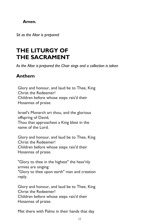#### **Amen.**

*Sit as the Altar is prepared*

# **THE LITURGY OF THE SACRAMENT**

*As the Altar is prepared the Choir sings and a collection is taken*

#### **Anthem**

reply.

Glory and honour, and laud be to Thee, King Christ the Redeemer! Children before whose steps rais'd their Hosannas of praise.

Israel's Monarch art thou, and the glorious offspring of David, Thou that approachest a King blest in the name of the Lord.

Glory and honour, and laud be to Thee, King Christ the Redeemer! Children before whose steps rais'd their Hosannas of praise.

"Glory to thee in the highest" the heav'nly armies are singing: "Glory to thee upon earth" man and creation

Glory and honour, and laud be to Thee, King Christ the Redeemer! Children before whose steps rais'd their Hosannas of praise.

Met there with Palms in their hands that day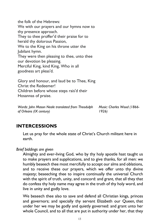the folk of the Hebrews: We with our prayers and our hymns now to thy presence approach. They to thee proffer'd their praise for to herald thy dolorous Passion, We to the King on his throne utter the Jubilant hymn. They were then pleasing to thee, unto thee our devotion be pleasing. Merciful King, kind King, Who in all goodness art pleas'd. Glory and honour, and laud be to Thee, King Christ the Redeemer! Children before whose steps rais'd their Hosannas of praise. *Words: John Mason Neale translated from Theodulph Music: Charles Wood (1866-*

**INTERCESSIONS**

*of Orleans (IX century)*

Let us pray for the whole state of Christ's Church militant here in earth.

*1926)*

*Brief biddings are given*

Almighty and ever-living God, who by thy holy apostle hast taught us to make prayers and supplications, and to give thanks, for all men: we humbly beseech thee most mercifully to accept our alms and oblations, and to receive these our prayers, which we offer unto thy divine majesty; beseeching thee to inspire continually the universal Church with the spirit of truth, unity, and concord: and grant, that all they that do confess thy holy name may agree in the truth of thy holy word, and live in unity and godly love.

We beseech thee also to save and defend all Christian kings, princes and governors; and specially thy servant Elizabeth our Queen*,* that under her we may be godly and quietly governed: and grant unto her whole Council, and to all that are put in authority under her, that they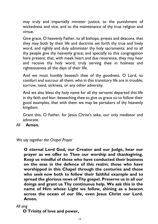may truly and impartially minister justice, to the punishment of wickedness and vice, and to the maintenance of thy true religion and virtue.

Give grace, O heavenly Father, to all bishops, priests and deacons, that they may both by their life and doctrine set forth thy true and lively word, and rightly and duly administer thy holy sacraments: and to all thy people give thy heavenly grace; and specially to this congregation here present; that, with meek heart and due reverence, they may hear and receive thy holy word; truly serving thee in holiness and righteousness all the days of their life.

And we most humbly beseech thee of thy goodness, O Lord, to comfort and succour all them, who in this transitory life are in trouble, sorrow, need, sickness, or any other adversity.

And we also bless thy holy name for all thy servants departed this life in thy faith and fear; beseeching thee to give us grace so to follow their good examples, that with them we may be partakers of thy heavenly kingdom.

Grant this, O Father, for Jesus Christ's sake, our only mediator and advocate.

*All* **Amen.**

*We say together the Chapel Prayer*

**O eternal Lord God, our Creator and our Judge, hear our prayer as we offer to Thee our worship and thanksgiving. Keep us mindful of those who have conducted their business on the seas in the defence of this realm; those who have worshipped in this Chapel through the centuries and those who seek now both to follow their faithful example and to spread the glorious news of Thy gospel. Preserve us in all our doings and grant us Thy continuous help. We ask this in the name of Him whose Light we follow, shining as a beacon across the ocean of our life, even Jesus Christ our Lord. Amen.**

*All sing*

**O Trinity of love and power,**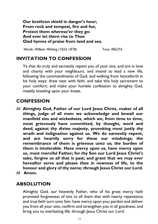**Our brethren shield in danger's hour; From rock and tempest, fire and foe, Protect them whereso'er they go: And ever let there rise to Thee Glad hymns of praise from land and sea.**

*Words: William Whiting (1825-1878) Tune: MELITA*

#### **INVITATION TO CONFESSION**

Ye that do truly and earnestly repent you of your sins, and are in love and charity with your neighbours, and intend to lead a new life, following the commandments of God, and walking from henceforth in his holy ways: draw near with faith, and take this holy sacrament to your comfort; and make your humble confession to almighty God, meekly kneeling upon your knees.

#### **CONFESSION**

- *All* **Almighty God, Father of our Lord Jesus Christ, maker of all things, judge of all men: we acknowledge and bewail our manifold sins and wickedness, which we, from time to time, most grievously have committed, by thought, word and deed, against thy divine majesty, provoking most justly thy wrath and indignation against us. We do earnestly repent, and are heartily sorry for these our misdoings; the remembrance of them is grievous unto us; the burden of them is intolerable. Have mercy upon us, have mercy upon us, most merciful Father; for thy Son our Lord Jesus Christ's sake, forgive us all that is past; and grant that we may ever hereafter serve and please thee in newness of life, to the honour and glory of thy name; through Jesus Christ our Lord.**
- *All* **Amen.**

## **ABSOLUTION**

Almighty God, our heavenly Father, who of his great mercy hath promised forgiveness of sins to all them that with hearty repentance and true faith turn unto him: have mercy upon you; pardon and deliver you from all your sins; confirm and strengthen you in all goodness; and bring you to everlasting life; through Jesus Christ our Lord.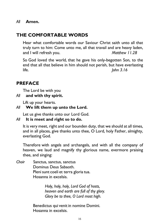## **THE COMFORTABLE WORDS**

Hear what comfortable words our Saviour Christ saith unto all that truly turn to him: Come unto me, all that travail and are heavy laden, and I will refresh you. *Matthew 11.28*

So God loved the world, that he gave his only-begotten Son, to the end that all that believe in him should not perish, but have everlasting life. *John 3.16*

#### **PREFACE**

The Lord be with you

*All* **and with thy spirit.**

Lift up your hearts.

#### *All* **We lift them up unto the Lord.**

Let us give thanks unto our Lord God.

#### *All* **It is meet and right so to do.**

It is very meet, right and our bounden duty, that we should at all times, and in all places, give thanks unto thee, O Lord, holy Father, almighty, everlasting God.

Therefore with angels and archangels, and with all the company of heaven, we laud and magnify thy glorious name, evermore praising thee, and singing:

*Choir* Sanctus, sanctus, sanctus    Dominus Deus Sabaoth.   Pleni sunt coeli et terra gloria tua.   Hosanna in excelsis.   

> *Holy, holy, holy, Lord God of hosts, heaven and earth are full of thy glory. Glory be to thee, O Lord most high.*

Benedictus qui venit in nomine Domini.   Hosanna in excelsis.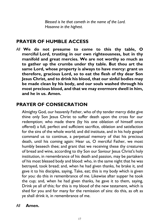*Blessed is he that cometh in the name of the Lord. Hosanna in the highest.*   

#### **PRAYER OF HUMBLE ACCESS**

*All* **We do not presume to come to this thy table, O merciful Lord, trusting in our own righteousness, but in thy manifold and great mercies. We are not worthy so much as to gather up the crumbs under thy table. But thou art the same Lord, whose property is always to have mercy: grant us therefore, gracious Lord, so to eat the flesh of thy dear Son Jesus Christ, and to drink his blood, that our sinful bodies may be made clean by his body, and our souls washed through his most precious blood, and that we may evermore dwell in him, and he in us. Amen.**

### **PRAYER OF CONSECRATION**

Almighty God, our heavenly Father, who of thy tender mercy didst give thine only Son Jesus Christ to suffer death upon the cross for our redemption; who made there (by his one oblation of himself once offered) a full, perfect and sufficient sacrifice, oblation and satisfaction for the sins of the whole world; and did institute, and in his holy gospel command us to continue, a perpetual memory of that his precious death, until his coming again: Hear us, O merciful Father, we most humbly beseech thee; and grant that we receiving these thy creatures of bread and wine, according to thy Son our Saviour Jesus Christ's holy institution, in remembrance of his death and passion, may be partakers of his most blessed body and blood: who, in the same night that he was betrayed, took bread; and, when he had given thanks, he brake it, and gave it to his disciples, saying, Take, eat; this is my body which is given for you: do this in remembrance of me. Likewise after supper he took the cup; and, when he had given thanks, he gave it to them, saying, Drink ye all of this; for this is my blood of the new testament, which is shed for you and for many for the remission of sins: do this, as oft as ye shall drink it, in remembrance of me.

#### *All* **Amen.**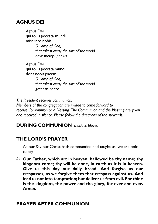### **AGNUS DEI**

Agnus Dei,    qui tollis peccata mundi,    miserere nobis.   *O Lamb of God, that takest away the sins of the world, have mercy upon us.*  

Agnus Dei,    qui tollis peccata mundi,    dona nobis pacem.   *O Lamb of God, that takest away the sins of the world, grant us peace.*  

*The President receives communion. Members of the congregation are invited to come forward to receive Communion or a Blessing. The Communion and the Blessing are given and received in silence. Please follow the directions of the stewards.*

## **DURING COMMUNION** *music is played*

# **THE LORD'S PRAYER**

As our Saviour Christ hath commanded and taught us, we are bold to say

*All* **Our Father, which art in heaven, hallowed be thy name; thy kingdom come; thy will be done, in earth as it is in heaven. Give us this day our daily bread. And forgive us our trespasses, as we forgive them that trespass against us. And lead us not into temptation; but deliver us from evil. For thine is the kingdom, the power and the glory, for ever and ever. Amen.**

# **PRAYER AFTER COMMUNION**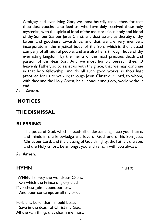Almighty and ever-living God, we most heartily thank thee, for that thou dost vouchsafe to feed us, who have duly received these holy mysteries, with the spiritual food of the most precious body and blood of thy Son our Saviour Jesus Christ; and dost assure us thereby of thy favour and goodness towards us; and that we are very members incorporate in the mystical body of thy Son, which is the blessed company of all faithful people; and are also heirs through hope of thy everlasting kingdom, by the merits of the most precious death and passion of thy dear Son. And we most humbly beseech thee, O heavenly Father, so to assist us with thy grace, that we may continue in that holy fellowship, and do all such good works as thou hast prepared for us to walk in; through Jesus Christ our Lord, to whom, with thee and the Holy Ghost, be all honour and glory, world without end.

*All* **Amen.**

#### **NOTICES**

# **THE DISMISSAL**

#### **BLESSING**

The peace of God, which passeth all understanding, keep your hearts and minds in the knowledge and love of God, and of his Son Jesus Christ our Lord: and the blessing of God almighty, the Father, the Son, and the Holy Ghost, be amongst you and remain with you always.

#### *All* **Amen.**

#### **HYMN** NEH 95

WHEN I survey the wondrous Cross,    On which the Prince of glory died, My richest gain I count but loss,    And pour contempt on all my pride.

Forbid it, Lord, that I should boast    Save in the death of Christ my God; All the vain things that charm me most,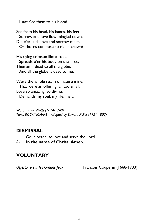I sacrifice them to his blood.

See from his head, his hands, his feet,    Sorrow and love flow mingled down; Did e'er such love and sorrow meet,    Or thorns compose so rich a crown?

His dying crimson like a robe,    Spreads o'er his body on the Tree; Then am I dead to all the globe,    And all the globe is dead to me.

Were the whole realm of nature mine,    That were an offering far too small; Love so amazing, so divine,    Demands my soul, my life, my all.

*Words: Isaac Watts (1674-1748) Tune: ROCKINGHAM – Adapted by Edward Miller (1731-1807)*

#### **DISMISSAL**

Go in peace, to love and serve the Lord.

*All* **In the name of Christ. Amen.**

## **VOLUNTARY**

*Offertoire sur les Grands Jeux* François Couperin (1668-1733)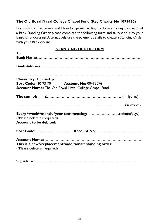#### **The Old Royal Naval College Chapel Fund (Reg Charity No 1073436)**

For both UK Tax payers and Non-Tax payers willing to donate money by means of a Bank Standing Order please complete the following form and take/send it to your Bank for processing. Alternatively use the payment details to create a Standing Order with your Bank on-line.

#### **STANDING ORDER FORM**

| To:                                                           |  |                                                                                                                 |  |
|---------------------------------------------------------------|--|-----------------------------------------------------------------------------------------------------------------|--|
|                                                               |  |                                                                                                                 |  |
|                                                               |  |                                                                                                                 |  |
| <b>Please pay: TSB Bank plc</b>                               |  | <b>Sort Code: 30-93-70 Account No: 00415076</b><br><b>Account Name:</b> The Old Royal Naval College Chapel Fund |  |
|                                                               |  |                                                                                                                 |  |
|                                                               |  |                                                                                                                 |  |
| (*Please delete as required)<br><b>Account to be debited:</b> |  | Every *week/*month/*year commencing: (dd/mm/yyyy)                                                               |  |
|                                                               |  |                                                                                                                 |  |
| (*Please delete as required)                                  |  | This is a new*/replacement*/additional* standing order                                                          |  |

**Signature:** ……………………………………………………………………...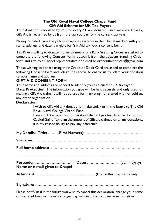#### **The Old Royal Naval College Chapel Fund Gift Aid Scheme for UK Tax Payers**

Your donation is boosted by 25p for every  $\mathcal L$  I you donate. Since we are a Charity, Gift Aid is reclaimed by us from the tax you pay for the current tax year.

Money donated using the yellow envelopes available in the Chapel marked with your name, address and date is eligible for Gift Aid without a consent form.

Tax Payers willing to donate money by means of a Bank Standing Order are asked to complete the following Consent Form, detach it from the adjacent Standing Order form and give to a Chapel representative or e-mail to ornccgiftaidofficer@gmail.com

Those wishing to donate using their Credit or Debit Card are asked to complete the following Consent form and return it as above to enable us to relate your donation to your name and address.

#### **GIFT AID CONSENT FORM**

Your name and address are needed to identify you as a current UK taxpayer.

**Data Protection**: The information you give will be held securely and only used for making a Gift Aid claim. It will not be used for marketing nor shared with, or sold to, any other organisation.

#### **Declaration:**

I wish to Gift Aid any donations I make today or in the future to The Old Royal Naval College Chapel Fund.

I am a UK taxpayer and understand that if I pay less Income Tax and/or Capital Gains Tax than the amount of Gift aid claimed on all my donations, it is my responsibility to pay any difference.

| Name or e-mail given to Chapel |  |  |  |
|--------------------------------|--|--|--|
|                                |  |  |  |
|                                |  |  |  |

**Signature:** ……………………………………………………………………………

Please notify us if in the future you wish to cancel this declaration, change your name or home address or if you no longer pay sufficient tax to cover your donation.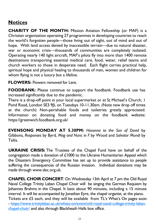# **Notices**

**CHARITY OF THE MONTH:** Mission Aviation Fellowship (or MAF) is a Christian organisation operating 27 programmes in developing countries to reach the world's forgotten people—those living out of sight, out of mind and out of hope. With land access denied by inaccessible terrain—due to natural disaster, war or economic crisis—thousands of communities are completely isolated. Operating nearly 140 light aircraft, MAF's pilots fly into more than 1400 remote destinations transporting essential medical care, food, water, relief teams and church workers to those in desperate need. Each flight carries practical help, spiritual hope and physical healing to thousands of men, women and children for whom flying is not a luxury but a lifeline.

**FLOWERS: Flowers removed for Lent.** 

**FOODBANK:** Please continue to support the foodbank. Foodbank use has increased significantly due to the pandemic.

There is a drop-off point in your local supermarket or at St Michael's Church, 1 Pond Road, London SE3 9JL on Tuesdays 10-11.30am. (Note new drop off times at the church) Non-perishable foods and toiletries greatly appreciated. Information on donating food and money on the foodbank website: https://greenwich.foodbank.org.uk/

**EVENSONG MONDAY AT 5.30PM:** *Hosanna to the Son of David* by Gibbons*, Responses* by Byrd*, Mag and Nunc in F* by Wood and *Salvator Mundi* by Tallis*.*

**UKRAINE CRISIS:** The Trustees of the Chapel Fund have on behalf of the congregation made a donation of £1000 to the Ukraine Humanitarian Appeal which the Disasters Emergency Committee has set up to provide assistance to people suffering the consequences of the Russian invasion. Individual donations may be made through www.dec.org.uk.

**CHAPEL CHOIR CONCERT***:* On Wednesday 13th April at 7 pm the Old Royal Naval College Trinity Laban Chapel Choir will be singing the German Requiem by Johannes Brahms in the Chapel. It lasts about 90 minutes, including a 15 minute interval. It will be accompanied by Jonathan Eyre, the chapel organist, at the piano. Tickets are £5 each, and they will be available from TL's What's On pages soon - https://www.trinitylaban.ac.uk/whats-on/event/old-royal-naval-college-trinity-labanchapel-choir/ and also through Blackheath Halls box office.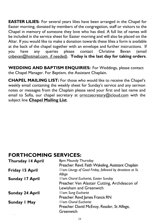**EASTER LILIES:** For several years lilies have been arranged in the Chapel for Easter morning, donated by members of the congregation, staff or visitors to the Chapel in memory of someone they love who has died. A full list of names will be included in the service sheet for Easter morning and will also be placed on the Altar. If you would like to make a donation towards these lilies a form is available at the back of the chapel together with an envelope and further instructions. If you have any queries please contact Christine Bevan (email cnbevan@hotmail.com if needed). **Today is the last day for taking orders**.

**WEDDING AND BAPTISM ENQUIRIES:** For Weddings, please contact the Chapel Manager. For Baptism, the Assistant Chaplain.

**CHAPEL MAILING LIST:** For those who would like to receive the Chapel's weekly email containing the weekly sheet for Sunday's service and any sermon notes or messages from the Chaplain please send your first and last name and email to Sofia, our chapel secretary at ornccsecretary@icloud.com with the subject line **Chapel Mailing List**.

# **FORTHCOMING SERVICES:**

*Hello!*

| <b>Thursday 14 April</b> | 8pm Maundy Thursday<br>Preacher: Revd. Faith Wakeling, Assistant Chaplain |
|--------------------------|---------------------------------------------------------------------------|
| <b>Friday 15 April</b>   | I I am Liturgy of Good Friday, followed by devotions at St.<br>Alfege     |
| <b>Sunday 17 April</b>   | I Iam Choral Eucharist, Easter Sunday                                     |
|                          | Preacher: Ven Alastair Cutting, Archdeacon of                             |
|                          | Lewisham and Greenwich                                                    |
| <b>Sunday 24 April</b>   | I Iam Sung Eucharist                                                      |
|                          | Preacher: Revd James Francis RN                                           |
| <b>Sunday I May</b>      | <b>I Iam Choral Eucharist</b>                                             |
|                          | Preacher: David McEvoy, Reader, St Alfege,                                |
|                          | Greenwich                                                                 |